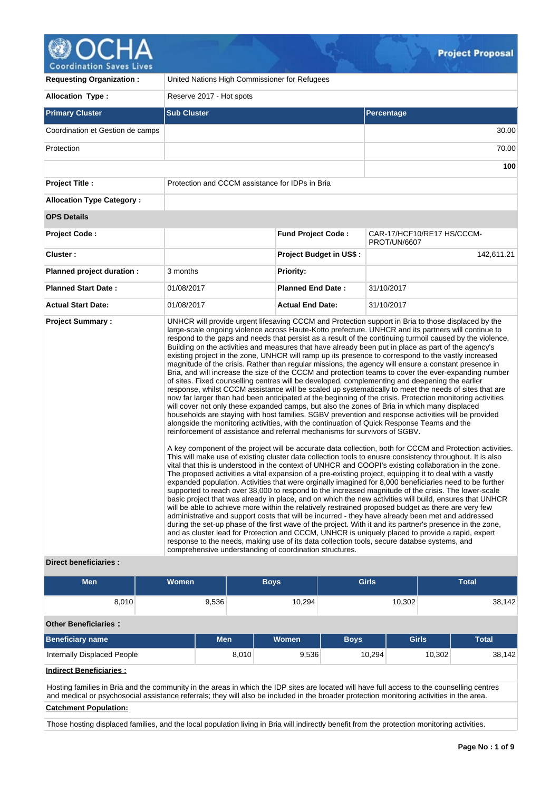# **OCHA**<br>Coordination Saves Lives

| <b>Requesting Organization:</b>                         | United Nations High Commissioner for Refugees                                                                                                                                                                                       |                                |                                                                                                                                                                                                                                                                                                                                                                                                                                                                                                                                                                                                                                                                                                                                                                                                                                                                                                                                                                                                                                                                                                                                                                                                                                                                                                                                                                                                                                                                                                                                                                                                                                                                                                                                                                                                                                                                                                                                                                                                                                                                                                                                                                                                                                                                                                                                                                                                                                                                                                                                                                                           |  |  |  |  |
|---------------------------------------------------------|-------------------------------------------------------------------------------------------------------------------------------------------------------------------------------------------------------------------------------------|--------------------------------|-------------------------------------------------------------------------------------------------------------------------------------------------------------------------------------------------------------------------------------------------------------------------------------------------------------------------------------------------------------------------------------------------------------------------------------------------------------------------------------------------------------------------------------------------------------------------------------------------------------------------------------------------------------------------------------------------------------------------------------------------------------------------------------------------------------------------------------------------------------------------------------------------------------------------------------------------------------------------------------------------------------------------------------------------------------------------------------------------------------------------------------------------------------------------------------------------------------------------------------------------------------------------------------------------------------------------------------------------------------------------------------------------------------------------------------------------------------------------------------------------------------------------------------------------------------------------------------------------------------------------------------------------------------------------------------------------------------------------------------------------------------------------------------------------------------------------------------------------------------------------------------------------------------------------------------------------------------------------------------------------------------------------------------------------------------------------------------------------------------------------------------------------------------------------------------------------------------------------------------------------------------------------------------------------------------------------------------------------------------------------------------------------------------------------------------------------------------------------------------------------------------------------------------------------------------------------------------------|--|--|--|--|
| <b>Allocation Type:</b>                                 | Reserve 2017 - Hot spots                                                                                                                                                                                                            |                                |                                                                                                                                                                                                                                                                                                                                                                                                                                                                                                                                                                                                                                                                                                                                                                                                                                                                                                                                                                                                                                                                                                                                                                                                                                                                                                                                                                                                                                                                                                                                                                                                                                                                                                                                                                                                                                                                                                                                                                                                                                                                                                                                                                                                                                                                                                                                                                                                                                                                                                                                                                                           |  |  |  |  |
| <b>Primary Cluster</b>                                  | <b>Sub Cluster</b>                                                                                                                                                                                                                  |                                | Percentage                                                                                                                                                                                                                                                                                                                                                                                                                                                                                                                                                                                                                                                                                                                                                                                                                                                                                                                                                                                                                                                                                                                                                                                                                                                                                                                                                                                                                                                                                                                                                                                                                                                                                                                                                                                                                                                                                                                                                                                                                                                                                                                                                                                                                                                                                                                                                                                                                                                                                                                                                                                |  |  |  |  |
| Coordination et Gestion de camps                        |                                                                                                                                                                                                                                     |                                | 30.00                                                                                                                                                                                                                                                                                                                                                                                                                                                                                                                                                                                                                                                                                                                                                                                                                                                                                                                                                                                                                                                                                                                                                                                                                                                                                                                                                                                                                                                                                                                                                                                                                                                                                                                                                                                                                                                                                                                                                                                                                                                                                                                                                                                                                                                                                                                                                                                                                                                                                                                                                                                     |  |  |  |  |
| Protection                                              |                                                                                                                                                                                                                                     |                                | 70.00                                                                                                                                                                                                                                                                                                                                                                                                                                                                                                                                                                                                                                                                                                                                                                                                                                                                                                                                                                                                                                                                                                                                                                                                                                                                                                                                                                                                                                                                                                                                                                                                                                                                                                                                                                                                                                                                                                                                                                                                                                                                                                                                                                                                                                                                                                                                                                                                                                                                                                                                                                                     |  |  |  |  |
|                                                         |                                                                                                                                                                                                                                     |                                | 100                                                                                                                                                                                                                                                                                                                                                                                                                                                                                                                                                                                                                                                                                                                                                                                                                                                                                                                                                                                                                                                                                                                                                                                                                                                                                                                                                                                                                                                                                                                                                                                                                                                                                                                                                                                                                                                                                                                                                                                                                                                                                                                                                                                                                                                                                                                                                                                                                                                                                                                                                                                       |  |  |  |  |
| <b>Project Title:</b>                                   | Protection and CCCM assistance for IDPs in Bria                                                                                                                                                                                     |                                |                                                                                                                                                                                                                                                                                                                                                                                                                                                                                                                                                                                                                                                                                                                                                                                                                                                                                                                                                                                                                                                                                                                                                                                                                                                                                                                                                                                                                                                                                                                                                                                                                                                                                                                                                                                                                                                                                                                                                                                                                                                                                                                                                                                                                                                                                                                                                                                                                                                                                                                                                                                           |  |  |  |  |
| <b>Allocation Type Category:</b>                        |                                                                                                                                                                                                                                     |                                |                                                                                                                                                                                                                                                                                                                                                                                                                                                                                                                                                                                                                                                                                                                                                                                                                                                                                                                                                                                                                                                                                                                                                                                                                                                                                                                                                                                                                                                                                                                                                                                                                                                                                                                                                                                                                                                                                                                                                                                                                                                                                                                                                                                                                                                                                                                                                                                                                                                                                                                                                                                           |  |  |  |  |
| <b>OPS Details</b>                                      |                                                                                                                                                                                                                                     |                                |                                                                                                                                                                                                                                                                                                                                                                                                                                                                                                                                                                                                                                                                                                                                                                                                                                                                                                                                                                                                                                                                                                                                                                                                                                                                                                                                                                                                                                                                                                                                                                                                                                                                                                                                                                                                                                                                                                                                                                                                                                                                                                                                                                                                                                                                                                                                                                                                                                                                                                                                                                                           |  |  |  |  |
| <b>Project Code:</b>                                    |                                                                                                                                                                                                                                     | <b>Fund Project Code:</b>      | CAR-17/HCF10/RE17 HS/CCCM-<br><b>PROT/UN/6607</b>                                                                                                                                                                                                                                                                                                                                                                                                                                                                                                                                                                                                                                                                                                                                                                                                                                                                                                                                                                                                                                                                                                                                                                                                                                                                                                                                                                                                                                                                                                                                                                                                                                                                                                                                                                                                                                                                                                                                                                                                                                                                                                                                                                                                                                                                                                                                                                                                                                                                                                                                         |  |  |  |  |
| Cluster:                                                |                                                                                                                                                                                                                                     | <b>Project Budget in US\$:</b> | 142,611.21                                                                                                                                                                                                                                                                                                                                                                                                                                                                                                                                                                                                                                                                                                                                                                                                                                                                                                                                                                                                                                                                                                                                                                                                                                                                                                                                                                                                                                                                                                                                                                                                                                                                                                                                                                                                                                                                                                                                                                                                                                                                                                                                                                                                                                                                                                                                                                                                                                                                                                                                                                                |  |  |  |  |
| Planned project duration :                              | 3 months                                                                                                                                                                                                                            | <b>Priority:</b>               |                                                                                                                                                                                                                                                                                                                                                                                                                                                                                                                                                                                                                                                                                                                                                                                                                                                                                                                                                                                                                                                                                                                                                                                                                                                                                                                                                                                                                                                                                                                                                                                                                                                                                                                                                                                                                                                                                                                                                                                                                                                                                                                                                                                                                                                                                                                                                                                                                                                                                                                                                                                           |  |  |  |  |
| <b>Planned Start Date:</b>                              | 01/08/2017                                                                                                                                                                                                                          | <b>Planned End Date:</b>       | 31/10/2017                                                                                                                                                                                                                                                                                                                                                                                                                                                                                                                                                                                                                                                                                                                                                                                                                                                                                                                                                                                                                                                                                                                                                                                                                                                                                                                                                                                                                                                                                                                                                                                                                                                                                                                                                                                                                                                                                                                                                                                                                                                                                                                                                                                                                                                                                                                                                                                                                                                                                                                                                                                |  |  |  |  |
| <b>Actual Start Date:</b>                               | 01/08/2017                                                                                                                                                                                                                          | <b>Actual End Date:</b>        | 31/10/2017                                                                                                                                                                                                                                                                                                                                                                                                                                                                                                                                                                                                                                                                                                                                                                                                                                                                                                                                                                                                                                                                                                                                                                                                                                                                                                                                                                                                                                                                                                                                                                                                                                                                                                                                                                                                                                                                                                                                                                                                                                                                                                                                                                                                                                                                                                                                                                                                                                                                                                                                                                                |  |  |  |  |
| <b>Project Summary:</b><br><b>Direct beneficiaries:</b> | alongside the monitoring activities, with the continuation of Quick Response Teams and the<br>reinforcement of assistance and referral mechanisms for survivors of SGBV.<br>comprehensive understanding of coordination structures. |                                | UNHCR will provide urgent lifesaving CCCM and Protection support in Bria to those displaced by the<br>large-scale ongoing violence across Haute-Kotto prefecture. UNHCR and its partners will continue to<br>respond to the gaps and needs that persist as a result of the continuing turmoil caused by the violence.<br>Building on the activities and measures that have already been put in place as part of the agency's<br>existing project in the zone, UNHCR will ramp up its presence to correspond to the vastly increased<br>magnitude of the crisis. Rather than regular missions, the agency will ensure a constant presence in<br>Bria, and will increase the size of the CCCM and protection teams to cover the ever-expanding number<br>of sites. Fixed counselling centres will be developed, complementing and deepening the earlier<br>response, whilst CCCM assistance will be scaled up systematically to meet the needs of sites that are<br>now far larger than had been anticipated at the beginning of the crisis. Protection monitoring activities<br>will cover not only these expanded camps, but also the zones of Bria in which many displaced<br>households are staying with host families. SGBV prevention and response activities will be provided<br>A key component of the project will be accurate data collection, both for CCCM and Protection activities.<br>This will make use of existing cluster data collection tools to enusre consistency throughout. It is also<br>vital that this is understood in the context of UNHCR and COOPI's existing collaboration in the zone.<br>The proposed activities a vital expansion of a pre-existing project, equipping it to deal with a vastly<br>expanded population. Activities that were orginally imagined for 8,000 beneficiaries need to be further<br>supported to reach over 38,000 to respond to the increased magnitude of the crisis. The lower-scale<br>basic project that was already in place, and on which the new activities will build, ensures that UNHCR<br>will be able to achieve more within the relatively restrained proposed budget as there are very few<br>administrative and support costs that will be incurred - they have already been met and addressed<br>during the set-up phase of the first wave of the project. With it and its partner's presence in the zone,<br>and as cluster lead for Protection and CCCM, UNHCR is uniquely placed to provide a rapid, expert<br>response to the needs, making use of its data collection tools, secure databse systems, and |  |  |  |  |

| <b>Men</b>                                                                                                                                                                                                                                                                               | Women |            |       | <b>Boys</b> | <b>Girls</b> |              | <b>Total</b> |        |  |              |
|------------------------------------------------------------------------------------------------------------------------------------------------------------------------------------------------------------------------------------------------------------------------------------------|-------|------------|-------|-------------|--------------|--------------|--------------|--------|--|--------------|
| 8,010                                                                                                                                                                                                                                                                                    |       | 9,536      |       | 10.294      |              | 10.302       |              | 38,142 |  |              |
| <b>Other Beneficiaries:</b>                                                                                                                                                                                                                                                              |       |            |       |             |              |              |              |        |  |              |
| <b>Beneficiary name</b>                                                                                                                                                                                                                                                                  |       | <b>Men</b> |       | Women       | <b>Boys</b>  | <b>Girls</b> |              |        |  | <b>Total</b> |
| Internally Displaced People                                                                                                                                                                                                                                                              |       |            | 8.010 | 9,536       | 10.294       |              | 10,302       | 38,142 |  |              |
| <b>Indirect Beneficiaries:</b>                                                                                                                                                                                                                                                           |       |            |       |             |              |              |              |        |  |              |
| Hosting families in Bria and the community in the areas in which the IDP sites are located will have full access to the counselling centres<br>and medical or psychosocial assistance referrals; they will also be included in the broader protection monitoring activities in the area. |       |            |       |             |              |              |              |        |  |              |
| <b>Catchment Population:</b>                                                                                                                                                                                                                                                             |       |            |       |             |              |              |              |        |  |              |
| Those hosting displaced families, and the local population living in Bria will indirectly benefit from the protection monitoring activities.                                                                                                                                             |       |            |       |             |              |              |              |        |  |              |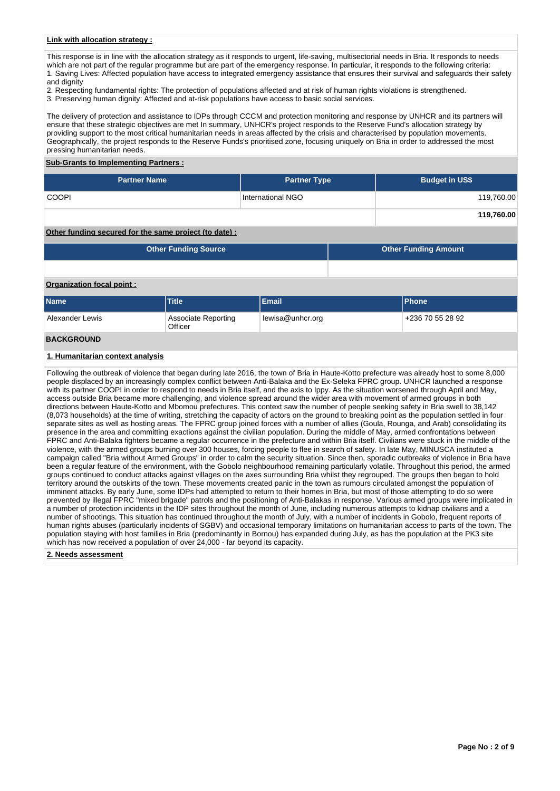## **Link with allocation strategy :**

This response is in line with the allocation strategy as it responds to urgent, life-saving, multisectorial needs in Bria. It responds to needs which are not part of the regular programme but are part of the emergency response. In particular, it responds to the following criteria: 1. Saving Lives: Affected population have access to integrated emergency assistance that ensures their survival and safeguards their safety

and dignity

2. Respecting fundamental rights: The protection of populations affected and at risk of human rights violations is strengthened.

3. Preserving human dignity: Affected and at-risk populations have access to basic social services.

The delivery of protection and assistance to IDPs through CCCM and protection monitoring and response by UNHCR and its partners will ensure that these strategic objectives are met In summary, UNHCR's project responds to the Reserve Fund's allocation strategy by providing support to the most critical humanitarian needs in areas affected by the crisis and characterised by population movements. Geographically, the project responds to the Reserve Funds's prioritised zone, focusing uniquely on Bria in order to addressed the most pressing humanitarian needs.

#### **Sub-Grants to Implementing Partners :**

| <b>Partner Name</b>                                  | <b>Partner Type</b> | <b>Budget in US\$</b> |
|------------------------------------------------------|---------------------|-----------------------|
| <b>COOPI</b>                                         | International NGO   | 119,760.00            |
|                                                      |                     | 119,760.00            |
| Other funding secured for the same project (to date) |                     |                       |

#### **Other funding secured for the same project (to date) :**

| <b>Other Funding Source</b> | <b>Other Funding Amount</b> |
|-----------------------------|-----------------------------|
|                             |                             |

# **Organization focal point :**

| <b>Name</b>       | <b>Title</b>                                       | Email | <b>IPhone</b>    |  |  |  |
|-------------------|----------------------------------------------------|-------|------------------|--|--|--|
| Alexander Lewis   | lewisa@unhcr.org<br>Associate Reporting<br>Officer |       | +236 70 55 28 92 |  |  |  |
| <b>BACKGROUND</b> |                                                    |       |                  |  |  |  |

# **1. Humanitarian context analysis**

Following the outbreak of violence that began during late 2016, the town of Bria in Haute-Kotto prefecture was already host to some 8,000 people displaced by an increasingly complex conflict between Anti-Balaka and the Ex-Seleka FPRC group. UNHCR launched a response with its partner COOPI in order to respond to needs in Bria itself, and the axis to Ippy. As the situation worsened through April and May, access outside Bria became more challenging, and violence spread around the wider area with movement of armed groups in both directions between Haute-Kotto and Mbomou prefectures. This context saw the number of people seeking safety in Bria swell to 38,142 (8,073 households) at the time of writing, stretching the capacity of actors on the ground to breaking point as the population settled in four separate sites as well as hosting areas. The FPRC group joined forces with a number of allies (Goula, Rounga, and Arab) consolidating its presence in the area and committing exactions against the civilian population. During the middle of May, armed confrontations between FPRC and Anti-Balaka fighters became a regular occurrence in the prefecture and within Bria itself. Civilians were stuck in the middle of the violence, with the armed groups burning over 300 houses, forcing people to flee in search of safety. In late May, MINUSCA instituted a campaign called "Bria without Armed Groups" in order to calm the security situation. Since then, sporadic outbreaks of violence in Bria have been a regular feature of the environment, with the Gobolo neighbourhood remaining particularly volatile. Throughout this period, the armed groups continued to conduct attacks against villages on the axes surrounding Bria whilst they regrouped. The groups then began to hold territory around the outskirts of the town. These movements created panic in the town as rumours circulated amongst the population of imminent attacks. By early June, some IDPs had attempted to return to their homes in Bria, but most of those attempting to do so were prevented by illegal FPRC "mixed brigade" patrols and the positioning of Anti-Balakas in response. Various armed groups were implicated in a number of protection incidents in the IDP sites throughout the month of June, including numerous attempts to kidnap civilians and a number of shootings. This situation has continued throughout the month of July, with a number of incidents in Gobolo, frequent reports of human rights abuses (particularly incidents of SGBV) and occasional temporary limitations on humanitarian access to parts of the town. The population staying with host families in Bria (predominantly in Bornou) has expanded during July, as has the population at the PK3 site which has now received a population of over 24,000 - far beyond its capacity.

**2. Needs assessment**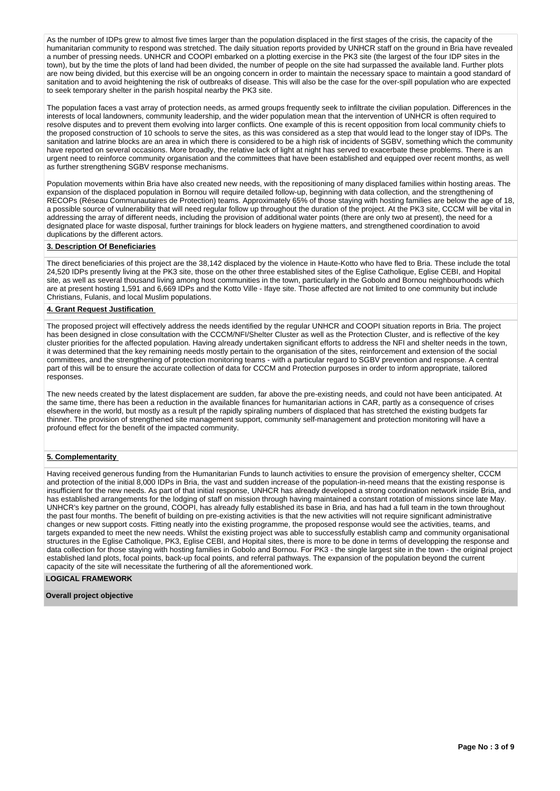As the number of IDPs grew to almost five times larger than the population displaced in the first stages of the crisis, the capacity of the humanitarian community to respond was stretched. The daily situation reports provided by UNHCR staff on the ground in Bria have revealed a number of pressing needs. UNHCR and COOPI embarked on a plotting exercise in the PK3 site (the largest of the four IDP sites in the town), but by the time the plots of land had been divided, the number of people on the site had surpassed the available land. Further plots are now being divided, but this exercise will be an ongoing concern in order to maintain the necessary space to maintain a good standard of sanitation and to avoid heightening the risk of outbreaks of disease. This will also be the case for the over-spill population who are expected to seek temporary shelter in the parish hospital nearby the PK3 site.

The population faces a vast array of protection needs, as armed groups frequently seek to infiltrate the civilian population. Differences in the interests of local landowners, community leadership, and the wider population mean that the intervention of UNHCR is often required to resolve disputes and to prevent them evolving into larger conflicts. One example of this is recent opposition from local community chiefs to the proposed construction of 10 schools to serve the sites, as this was considered as a step that would lead to the longer stay of IDPs. The sanitation and latrine blocks are an area in which there is considered to be a high risk of incidents of SGBV, something which the community have reported on several occasions. More broadly, the relative lack of light at night has served to exacerbate these problems. There is an urgent need to reinforce community organisation and the committees that have been established and equipped over recent months, as well as further strengthening SGBV response mechanisms.

Population movements within Bria have also created new needs, with the repositioning of many displaced families within hosting areas. The expansion of the displaced population in Bornou will require detailed follow-up, beginning with data collection, and the strengthening of RECOPs (Réseau Communautaires de Protection) teams. Approximately 65% of those staying with hosting families are below the age of 18, a possible source of vulnerability that will need regular follow up throughout the duration of the project. At the PK3 site, CCCM will be vital in addressing the array of different needs, including the provision of additional water points (there are only two at present), the need for a designated place for waste disposal, further trainings for block leaders on hygiene matters, and strengthened coordination to avoid duplications by the different actors.

#### **3. Description Of Beneficiaries**

The direct beneficiaries of this project are the 38,142 displaced by the violence in Haute-Kotto who have fled to Bria. These include the total 24,520 IDPs presently living at the PK3 site, those on the other three established sites of the Eglise Catholique, Eglise CEBI, and Hopital site, as well as several thousand living among host communities in the town, particularly in the Gobolo and Bornou neighbourhoods which are at present hosting 1,591 and 6,669 IDPs and the Kotto Ville - Ifaye site. Those affected are not limited to one community but include Christians, Fulanis, and local Muslim populations.

## **4. Grant Request Justification**

The proposed project will effectively address the needs identified by the regular UNHCR and COOPI situation reports in Bria. The project has been designed in close consultation with the CCCM/NFI/Shelter Cluster as well as the Protection Cluster, and is reflective of the key cluster priorities for the affected population. Having already undertaken significant efforts to address the NFI and shelter needs in the town, it was determined that the key remaining needs mostly pertain to the organisation of the sites, reinforcement and extension of the social committees, and the strengthening of protection monitoring teams - with a particular regard to SGBV prevention and response. A central part of this will be to ensure the accurate collection of data for CCCM and Protection purposes in order to inform appropriate, tailored responses.

The new needs created by the latest displacement are sudden, far above the pre-existing needs, and could not have been anticipated. At the same time, there has been a reduction in the available finances for humanitarian actions in CAR, partly as a consequence of crises elsewhere in the world, but mostly as a result pf the rapidly spiraling numbers of displaced that has stretched the existing budgets far thinner. The provision of strengthened site management support, community self-management and protection monitoring will have a profound effect for the benefit of the impacted community.

# **5. Complementarity**

Having received generous funding from the Humanitarian Funds to launch activities to ensure the provision of emergency shelter, CCCM and protection of the initial 8,000 IDPs in Bria, the vast and sudden increase of the population-in-need means that the existing response is insufficient for the new needs. As part of that initial response, UNHCR has already developed a strong coordination network inside Bria, and has established arrangements for the lodging of staff on mission through having maintained a constant rotation of missions since late May. UNHCR's key partner on the ground, COOPI, has already fully established its base in Bria, and has had a full team in the town throughout the past four months. The benefit of building on pre-existing activities is that the new activities will not require significant administrative changes or new support costs. Fitting neatly into the existing programme, the proposed response would see the activities, teams, and targets expanded to meet the new needs. Whilst the existing project was able to successfully establish camp and community organisational structures in the Eglise Catholique, PK3, Eglise CEBI, and Hopital sites, there is more to be done in terms of developping the response and data collection for those staying with hosting families in Gobolo and Bornou. For PK3 - the single largest site in the town - the original project established land plots, focal points, back-up focal points, and referral pathways. The expansion of the population beyond the current capacity of the site will necessitate the furthering of all the aforementioned work.

# **LOGICAL FRAMEWORK**

**Overall project objective**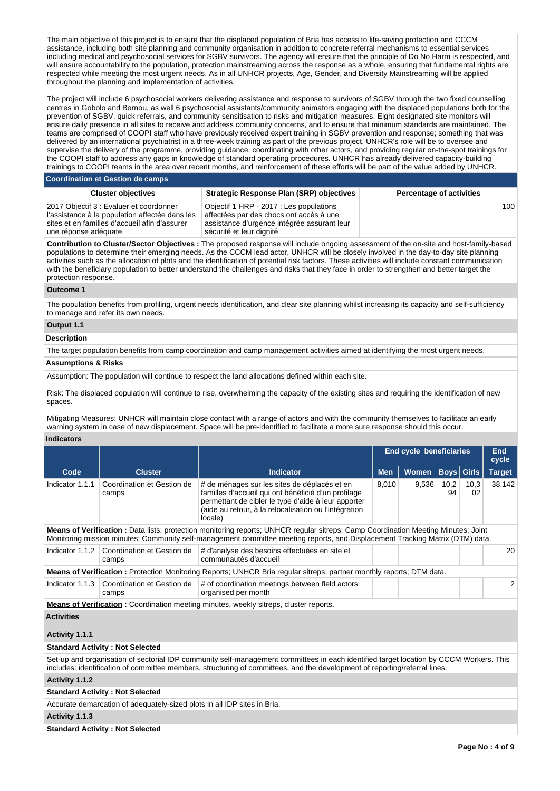The main objective of this project is to ensure that the displaced population of Bria has access to life-saving protection and CCCM assistance, including both site planning and community organisation in addition to concrete referral mechanisms to essential services including medical and psychosocial services for SGBV survivors. The agency will ensure that the principle of Do No Harm is respected, and will ensure accountability to the population, protection mainstreaming across the response as a whole, ensuring that fundamental rights are respected while meeting the most urgent needs. As in all UNHCR projects, Age, Gender, and Diversity Mainstreaming will be applied throughout the planning and implementation of activities.

The project will include 6 psychosocial workers delivering assistance and response to survivors of SGBV through the two fixed counselling centres in Gobolo and Bornou, as well 6 psychosocial assistants/community animators engaging with the displaced populations both for the prevention of SGBV, quick referrals, and community sensitisation to risks and mitigation measures. Eight designated site monitors will ensure daily presence in all sites to receive and address community concerns, and to ensure that minimum standards are maintained. The teams are comprised of COOPI staff who have previously received expert training in SGBV prevention and response; something that was delivered by an international psychiatrist in a three-week training as part of the previous project. UNHCR's role will be to oversee and supervise the delivery of the programme, providing guidance, coordinating with other actors, and providing regular on-the-spot trainings for the COOPI staff to address any gaps in knowledge of standard operating procedures. UNHCR has already delivered capacity-building trainings to COOPI teams in the area over recent months, and reinforcement of these efforts will be part of the value added by UNHCR.

**Coordination et Gestion de camps**

| <b>Cluster objectives</b>                                                                                                                                          | <b>Strategic Response Plan (SRP) objectives</b>                                                                                                               | <b>Percentage of activities</b> |
|--------------------------------------------------------------------------------------------------------------------------------------------------------------------|---------------------------------------------------------------------------------------------------------------------------------------------------------------|---------------------------------|
| 2017 Objectif 3 : Evaluer et coordonner<br>l'assistance à la population affectée dans les<br>sites et en familles d'accueil afin d'assurer<br>une réponse adéquate | Objectif 1 HRP - 2017 : Les populations<br>affectées par des chocs ont accès à une<br>assistance d'urgence intégrée assurant leur<br>sécurité et leur dignité | 100                             |

**Contribution to Cluster/Sector Objectives :** The proposed response will include ongoing assessment of the on-site and host-family-based populations to determine their emerging needs. As the CCCM lead actor, UNHCR will be closely involved in the day-to-day site planning activities such as the allocation of plots and the identification of potential risk factors. These activities will include constant communication with the beneficiary population to better understand the challenges and risks that they face in order to strengthen and better target the protection response.

#### **Outcome 1**

The population benefits from profiling, urgent needs identification, and clear site planning whilst increasing its capacity and self-sufficiency to manage and refer its own needs.

# **Output 1.1**

## **Description**

The target population benefits from camp coordination and camp management activities aimed at identifying the most urgent needs.

# **Assumptions & Risks**

Assumption: The population will continue to respect the land allocations defined within each site.

Risk: The displaced population will continue to rise, overwhelming the capacity of the existing sites and requiring the identification of new spaces.

Mitigating Measures: UNHCR will maintain close contact with a range of actors and with the community themselves to facilitate an early warning system in case of new displacement. Space will be pre-identified to facilitate a more sure response should this occur.

# **Indicators**

|                                                                                                                             |                                     |                                                                                                                                                                                                                                                                           | <b>End cycle beneficiaries</b> |              |            | End<br>cycle      |               |  |  |
|-----------------------------------------------------------------------------------------------------------------------------|-------------------------------------|---------------------------------------------------------------------------------------------------------------------------------------------------------------------------------------------------------------------------------------------------------------------------|--------------------------------|--------------|------------|-------------------|---------------|--|--|
| Code                                                                                                                        | <b>Cluster</b>                      | <b>Indicator</b>                                                                                                                                                                                                                                                          | <b>Men</b>                     | <b>Women</b> |            | <b>Boys</b> Girls | <b>Target</b> |  |  |
| Indicator 1.1.1                                                                                                             | Coordination et Gestion de<br>camps | # de ménages sur les sites de déplacés et en<br>familles d'accueil qui ont bénéficié d'un profilage<br>permettant de cibler le type d'aide à leur apporter<br>(aide au retour, à la relocalisation ou l'intégration<br>locale)                                            |                                | 9,536        | 10,2<br>94 | 10,3<br>02        | 38.142        |  |  |
|                                                                                                                             |                                     | <b>Means of Verification:</b> Data lists; protection monitoring reports; UNHCR regular sitreps; Camp Coordination Meeting Minutes; Joint<br>Monitoring mission minutes; Community self-management committee meeting reports, and Displacement Tracking Matrix (DTM) data. |                                |              |            |                   |               |  |  |
| Indicator 1.1.2                                                                                                             | Coordination et Gestion de<br>camps | # d'analyse des besoins effectuées en site et<br>communautés d'accueil                                                                                                                                                                                                    |                                |              |            |                   | 20            |  |  |
| <b>Means of Verification:</b> Protection Monitoring Reports; UNHCR Bria regular sitreps; partner monthly reports; DTM data. |                                     |                                                                                                                                                                                                                                                                           |                                |              |            |                   |               |  |  |
| Indicator 1.1.3                                                                                                             | Coordination et Gestion de<br>camps | # of coordination meetings between field actors<br>organised per month                                                                                                                                                                                                    |                                |              |            |                   | 2             |  |  |
| Means of Verification : Coordination meeting minutes weekly sitrens cluster reports                                         |                                     |                                                                                                                                                                                                                                                                           |                                |              |            |                   |               |  |  |

**<u>erification</u>** : Coordination meeting minutes, weekly sitreps, cluster reports.

# **Activities**

## **Activity 1.1.1**

## **Standard Activity : Not Selected**

Set-up and organisation of sectorial IDP community self-management committees in each identified target location by CCCM Workers. This includes: identification of committee members, structuring of committees, and the development of reporting/referral lines.

**Activity 1.1.2** 

**Standard Activity : Not Selected**

Accurate demarcation of adequately-sized plots in all IDP sites in Bria.

**Activity 1.1.3** 

**Standard Activity : Not Selected**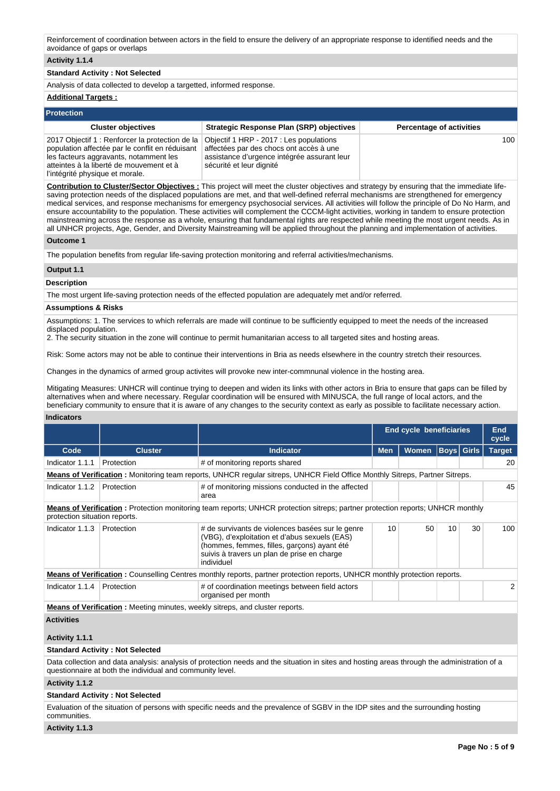Reinforcement of coordination between actors in the field to ensure the delivery of an appropriate response to identified needs and the avoidance of gaps or overlaps

# **Activity 1.1.4**

# **Standard Activity : Not Selected**

Analysis of data collected to develop a targetted, informed response.

# **Additional Targets :**

| <b>Protection</b>                                                                                                                                                                                                          |                                                                                                                                                               |                                 |
|----------------------------------------------------------------------------------------------------------------------------------------------------------------------------------------------------------------------------|---------------------------------------------------------------------------------------------------------------------------------------------------------------|---------------------------------|
| <b>Cluster objectives</b>                                                                                                                                                                                                  | Strategic Response Plan (SRP) objectives                                                                                                                      | <b>Percentage of activities</b> |
| 2017 Objectif 1: Renforcer la protection de la<br>population affectée par le conflit en réduisant<br>les facteurs aggravants, notamment les<br>atteintes à la liberté de mouvement et à<br>l'intégrité physique et morale. | Objectif 1 HRP - 2017 : Les populations<br>affectées par des chocs ont accès à une<br>assistance d'urgence intégrée assurant leur<br>sécurité et leur dignité | 100                             |

**Contribution to Cluster/Sector Objectives :** This project will meet the cluster objectives and strategy by ensuring that the immediate lifesaving protection needs of the displaced populations are met, and that well-defined referral mechanisms are strengthened for emergency medical services, and response mechanisms for emergency psychosocial services. All activities will follow the principle of Do No Harm, and ensure accountability to the population. These activities will complement the CCCM-light activities, working in tandem to ensure protection mainstreaming across the response as a whole, ensuring that fundamental rights are respected while meeting the most urgent needs. As in all UNHCR projects, Age, Gender, and Diversity Mainstreaming will be applied throughout the planning and implementation of activities.

# **Outcome 1**

The population benefits from regular life-saving protection monitoring and referral activities/mechanisms.

# **Output 1.1**

# **Description**

The most urgent life-saving protection needs of the effected population are adequately met and/or referred.

## **Assumptions & Risks**

Assumptions: 1. The services to which referrals are made will continue to be sufficiently equipped to meet the needs of the increased displaced population.

2. The security situation in the zone will continue to permit humanitarian access to all targeted sites and hosting areas.

Risk: Some actors may not be able to continue their interventions in Bria as needs elsewhere in the country stretch their resources.

Changes in the dynamics of armed group activites will provoke new inter-commnunal violence in the hosting area.

Mitigating Measures: UNHCR will continue trying to deepen and widen its links with other actors in Bria to ensure that gaps can be filled by alternatives when and where necessary. Regular coordination will be ensured with MINUSCA, the full range of local actors, and the beneficiary community to ensure that it is aware of any changes to the security context as early as possible to facilitate necessary action.

# **Indicators**

|                                                                                                                             |                                                                                                                           |                                                                                                                                                                                                               | <b>End cycle beneficiaries</b> |              |    |                   | <b>End</b><br>cycle |  |  |
|-----------------------------------------------------------------------------------------------------------------------------|---------------------------------------------------------------------------------------------------------------------------|---------------------------------------------------------------------------------------------------------------------------------------------------------------------------------------------------------------|--------------------------------|--------------|----|-------------------|---------------------|--|--|
| Code                                                                                                                        | <b>Cluster</b>                                                                                                            | <b>Indicator</b>                                                                                                                                                                                              | <b>Men</b>                     | <b>Women</b> |    | <b>Boys</b> Girls | <b>Target</b>       |  |  |
| Indicator 1.1.1                                                                                                             | Protection                                                                                                                | # of monitoring reports shared                                                                                                                                                                                |                                |              |    |                   | 20                  |  |  |
| Means of Verification: Monitoring team reports, UNHCR regular sitreps, UNHCR Field Office Monthly Sitreps, Partner Sitreps. |                                                                                                                           |                                                                                                                                                                                                               |                                |              |    |                   |                     |  |  |
| Indicator 1.1.2                                                                                                             | Protection                                                                                                                | # of monitoring missions conducted in the affected<br>area                                                                                                                                                    |                                |              |    |                   | 45                  |  |  |
| protection situation reports.                                                                                               |                                                                                                                           | <b>Means of Verification</b> : Protection monitoring team reports; UNHCR protection sitreps; partner protection reports; UNHCR monthly                                                                        |                                |              |    |                   |                     |  |  |
| Indicator 1.1.3                                                                                                             | Protection                                                                                                                | # de survivants de violences basées sur le genre<br>(VBG), d'exploitation et d'abus sexuels (EAS)<br>(hommes, femmes, filles, garçons) ayant été<br>suivis à travers un plan de prise en charge<br>individuel | 10                             | 50           | 10 | 30                | 100                 |  |  |
|                                                                                                                             | Means of Verification: Counselling Centres monthly reports, partner protection reports, UNHCR monthly protection reports. |                                                                                                                                                                                                               |                                |              |    |                   |                     |  |  |
| Indicator 1.1.4                                                                                                             | Protection                                                                                                                | # of coordination meetings between field actors<br>organised per month                                                                                                                                        |                                |              |    |                   | $\overline{2}$      |  |  |
| <b>Means of Verification:</b> Meeting minutes, weekly sitreps, and cluster reports.                                         |                                                                                                                           |                                                                                                                                                                                                               |                                |              |    |                   |                     |  |  |

## **Activities**

#### **Activity 1.1.1**

#### **Standard Activity : Not Selected**

Data collection and data analysis: analysis of protection needs and the situation in sites and hosting areas through the administration of a questionnaire at both the individual and community level.

# **Activity 1.1.2**

## **Standard Activity : Not Selected**

Evaluation of the situation of persons with specific needs and the prevalence of SGBV in the IDP sites and the surrounding hosting communities.

**Activity 1.1.3**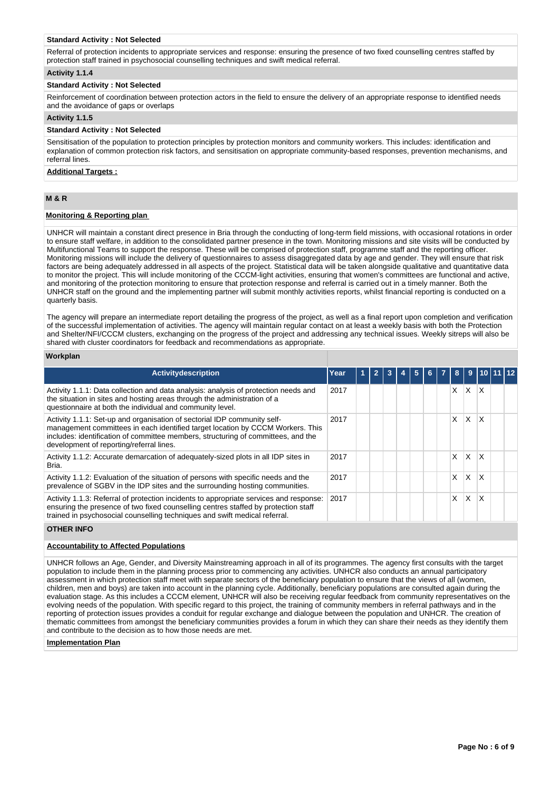#### **Standard Activity : Not Selected**

Referral of protection incidents to appropriate services and response: ensuring the presence of two fixed counselling centres staffed by protection staff trained in psychosocial counselling techniques and swift medical referral.

#### **Activity 1.1.4**

## **Standard Activity : Not Selected**

Reinforcement of coordination between protection actors in the field to ensure the delivery of an appropriate response to identified needs and the avoidance of gaps or overlaps

# **Activity 1.1.5**

# **Standard Activity : Not Selected**

Sensitisation of the population to protection principles by protection monitors and community workers. This includes: identification and explanation of common protection risk factors, and sensitisation on appropriate community-based responses, prevention mechanisms, and referral lines.

## **Additional Targets :**

# **M & R**

## **Monitoring & Reporting plan**

UNHCR will maintain a constant direct presence in Bria through the conducting of long-term field missions, with occasional rotations in order to ensure staff welfare, in addition to the consolidated partner presence in the town. Monitoring missions and site visits will be conducted by Multifunctional Teams to support the response. These will be comprised of protection staff, programme staff and the reporting officer. Monitoring missions will include the delivery of questionnaires to assess disaggregated data by age and gender. They will ensure that risk factors are being adequately addressed in all aspects of the project. Statistical data will be taken alongside qualitative and quantitative data to monitor the project. This will include monitoring of the CCCM-light activities, ensuring that women's committees are functional and active, and monitoring of the protection monitoring to ensure that protection response and referral is carried out in a timely manner. Both the UNHCR staff on the ground and the implementing partner will submit monthly activities reports, whilst financial reporting is conducted on a quarterly basis.

The agency will prepare an intermediate report detailing the progress of the project, as well as a final report upon completion and verification of the successful implementation of activities. The agency will maintain regular contact on at least a weekly basis with both the Protection and Shelter/NFI/CCCM clusters, exchanging on the progress of the project and addressing any technical issues. Weekly sitreps will also be shared with cluster coordinators for feedback and recommendations as appropriate.

# **Workplan**

| Activitydescription                                                                                                                                                                                                                                                                         | Year | 2 |  |  |    | 9        |              |  |
|---------------------------------------------------------------------------------------------------------------------------------------------------------------------------------------------------------------------------------------------------------------------------------------------|------|---|--|--|----|----------|--------------|--|
| Activity 1.1.1: Data collection and data analysis: analysis of protection needs and<br>the situation in sites and hosting areas through the administration of a<br>questionnaire at both the individual and community level.                                                                | 2017 |   |  |  | X. | X.       | $\mathsf{X}$ |  |
| Activity 1.1.1: Set-up and organisation of sectorial IDP community self-<br>management committees in each identified target location by CCCM Workers. This<br>includes: identification of committee members, structuring of committees, and the<br>development of reporting/referral lines. | 2017 |   |  |  | X. | <b>X</b> | $\mathsf{x}$ |  |
| Activity 1.1.2: Accurate demarcation of adequately-sized plots in all IDP sites in<br>Bria.                                                                                                                                                                                                 | 2017 |   |  |  | X  | X.       | $\mathsf{x}$ |  |
| Activity 1.1.2: Evaluation of the situation of persons with specific needs and the<br>prevalence of SGBV in the IDP sites and the surrounding hosting communities.                                                                                                                          | 2017 |   |  |  | x  | X        | X            |  |
| Activity 1.1.3: Referral of protection incidents to appropriate services and response:<br>ensuring the presence of two fixed counselling centres staffed by protection staff<br>trained in psychosocial counselling techniques and swift medical referral.                                  | 2017 |   |  |  | x  | X        | X            |  |

# **OTHER INFO**

# **Accountability to Affected Populations**

UNHCR follows an Age, Gender, and Diversity Mainstreaming approach in all of its programmes. The agency first consults with the target population to include them in the planning process prior to commencing any activities. UNHCR also conducts an annual participatory assessment in which protection staff meet with separate sectors of the beneficiary population to ensure that the views of all (women, children, men and boys) are taken into account in the planning cycle. Additionally, beneficiary populations are consulted again during the evaluation stage. As this includes a CCCM element, UNHCR will also be receiving regular feedback from community representatives on the evolving needs of the population. With specific regard to this project, the training of community members in referral pathways and in the reporting of protection issues provides a conduit for regular exchange and dialogue between the population and UNHCR. The creation of thematic committees from amongst the beneficiary communities provides a forum in which they can share their needs as they identify them and contribute to the decision as to how those needs are met.

#### **Implementation Plan**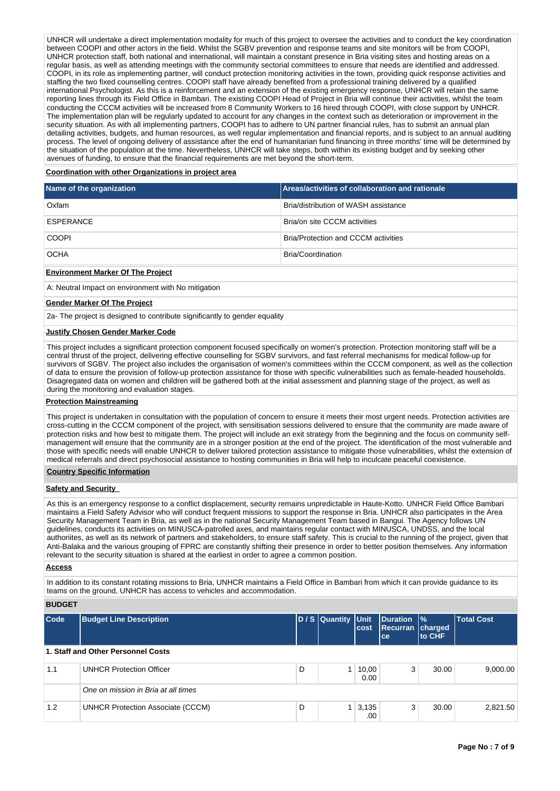UNHCR will undertake a direct implementation modality for much of this project to oversee the activities and to conduct the key coordination between COOPI and other actors in the field. Whilst the SGBV prevention and response teams and site monitors will be from COOPI, UNHCR protection staff, both national and international, will maintain a constant presence in Bria visiting sites and hosting areas on a regular basis, as well as attending meetings with the community sectorial committees to ensure that needs are identified and addressed. COOPI, in its role as implementing partner, will conduct protection monitoring activities in the town, providing quick response activities and staffing the two fixed counselling centres. COOPI staff have already benefited from a professional training delivered by a qualified international Psychologist. As this is a reinforcement and an extension of the existing emergency response, UNHCR will retain the same reporting lines through its Field Office in Bambari. The existing COOPI Head of Project in Bria will continue their activities, whilst the team conducting the CCCM activities will be increased from 8 Community Workers to 16 hired through COOPI, with close support by UNHCR. The implementation plan will be regularly updated to account for any changes in the context such as deterioration or improvement in the security situation. As with all implementing partners, COOPI has to adhere to UN partner financial rules, has to submit an annual plan detailing activities, budgets, and human resources, as well regular implementation and financial reports, and is subject to an annual auditing process. The level of ongoing delivery of assistance after the end of humanitarian fund financing in three months' time will be determined by the situation of the population at the time. Nevertheless, UNHCR will take steps, both within its existing budget and by seeking other avenues of funding, to ensure that the financial requirements are met beyond the short-term.

## **Coordination with other Organizations in project area**

| Name of the organization | <b>Areas/activities of collaboration and rationale</b> |
|--------------------------|--------------------------------------------------------|
| Oxfam                    | Bria/distribution of WASH assistance                   |
| ESPERANCE                | Bria/on site CCCM activities                           |
| <b>COOPI</b>             | <b>Bria/Protection and CCCM activities</b>             |
| <b>OCHA</b>              | Bria/Coordination                                      |

# **Environment Marker Of The Project**

A: Neutral Impact on environment with No mitigation

#### **Gender Marker Of The Project**

2a- The project is designed to contribute significantly to gender equality

# **Justify Chosen Gender Marker Code**

This project includes a significant protection component focused specifically on women's protection. Protection monitoring staff will be a central thrust of the project, delivering effective counselling for SGBV survivors, and fast referral mechanisms for medical follow-up for survivors of SGBV. The project also includes the organisation of women's committees within the CCCM component, as well as the collection of data to ensure the provision of follow-up protection assistance for those with specific vulnerabilities such as female-headed households. Disagregated data on women and children will be gathered both at the initial assessment and planning stage of the project, as well as during the monitoring and evaluation stages.

# **Protection Mainstreaming**

This project is undertaken in consultation with the population of concern to ensure it meets their most urgent needs. Protection activities are cross-cutting in the CCCM component of the project, with sensitisation sessions delivered to ensure that the community are made aware of protection risks and how best to mitigate them. The project will include an exit strategy from the beginning and the focus on community selfmanagement will ensure that the community are in a stronger position at the end of the project. The identification of the most vulnerable and those with specific needs will enable UNHCR to deliver tailored protection assistance to mitigate those vulnerabilities, whilst the extension of medical referrals and direct psychosocial assistance to hosting communities in Bria will help to inculcate peaceful coexistence.

## **Country Specific Information**

# **Safety and Security**

As this is an emergency response to a conflict displacement, security remains unpredictable in Haute-Kotto. UNHCR Field Office Bambari maintains a Field Safety Advisor who will conduct frequent missions to support the response in Bria. UNHCR also participates in the Area Security Management Team in Bria, as well as in the national Security Management Team based in Bangui. The Agency follows UN guidelines, conducts its activities on MINUSCA-patrolled axes, and maintains regular contact with MINUSCA, UNDSS, and the local authoriites, as well as its network of partners and stakeholders, to ensure staff safety. This is crucial to the running of the project, given that Anti-Balaka and the various grouping of FPRC are constantly shifting their presence in order to better position themselves. Any information relevant to the security situation is shared at the earliest in order to agree a common position.

## **Access**

In addition to its constant rotating missions to Bria, UNHCR maintains a Field Office in Bambari from which it can provide guidance to its teams on the ground, UNHCR has access to vehicles and accommodation.

# **BUDGET**

| Code | <b>Budget Line Description</b>           |   | D / S Quantity Unit | cost                       | Duration  %<br>Recurran charged<br><b>ce</b> | <b>to CHF</b> | <b>Total Cost</b> |
|------|------------------------------------------|---|---------------------|----------------------------|----------------------------------------------|---------------|-------------------|
|      | 1. Staff and Other Personnel Costs       |   |                     |                            |                                              |               |                   |
| 1.1  | <b>UNHCR Protection Officer</b>          | D |                     | 10,00<br>0.00              | 3                                            | 30.00         | 9,000.00          |
|      | One on mission in Bria at all times      |   |                     |                            |                                              |               |                   |
| 1.2  | <b>UNHCR Protection Associate (CCCM)</b> | D |                     | $1 \mid 3,135 \mid$<br>.00 | 3                                            | 30.00         | 2,821.50          |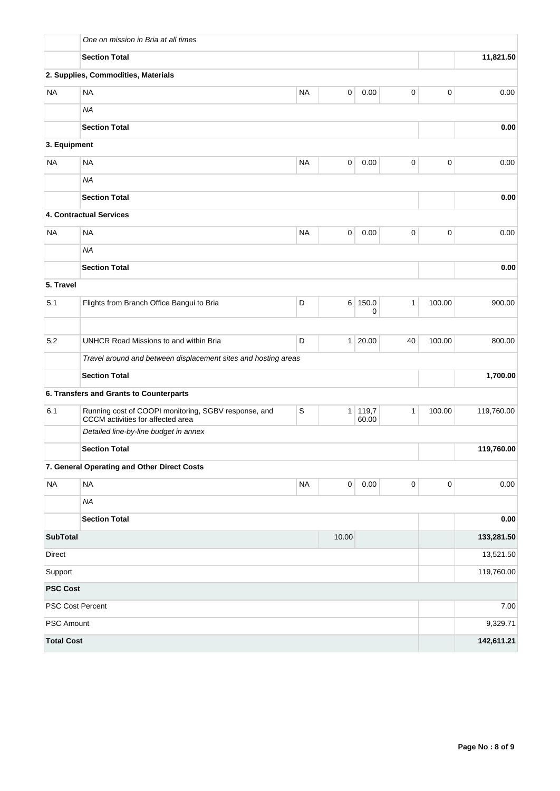|                          | One on mission in Bria at all times                                                       |             |           |                  |              |             |            |  |  |  |
|--------------------------|-------------------------------------------------------------------------------------------|-------------|-----------|------------------|--------------|-------------|------------|--|--|--|
|                          | <b>Section Total</b>                                                                      |             |           | 11,821.50        |              |             |            |  |  |  |
|                          | 2. Supplies, Commodities, Materials                                                       |             |           |                  |              |             |            |  |  |  |
| <b>NA</b>                | <b>NA</b>                                                                                 | <b>NA</b>   | 0         | 0.00             | 0            | 0           | 0.00       |  |  |  |
|                          | <b>NA</b>                                                                                 |             |           |                  |              |             |            |  |  |  |
|                          | <b>Section Total</b>                                                                      |             |           |                  |              |             | 0.00       |  |  |  |
| 3. Equipment             |                                                                                           |             |           |                  |              |             |            |  |  |  |
| <b>NA</b>                | <b>NA</b>                                                                                 | <b>NA</b>   | 0         | 0.00             | 0            | $\pmb{0}$   | 0.00       |  |  |  |
|                          | <b>NA</b>                                                                                 |             |           |                  |              |             |            |  |  |  |
|                          | <b>Section Total</b>                                                                      |             | 0.00      |                  |              |             |            |  |  |  |
|                          | 4. Contractual Services                                                                   |             |           |                  |              |             |            |  |  |  |
| <b>NA</b>                | <b>NA</b>                                                                                 | <b>NA</b>   | 0         | 0.00             | 0            | $\mathbf 0$ | 0.00       |  |  |  |
|                          | <b>NA</b>                                                                                 |             |           |                  |              |             |            |  |  |  |
|                          | <b>Section Total</b>                                                                      |             |           |                  |              |             | 0.00       |  |  |  |
| 5. Travel                |                                                                                           |             |           |                  |              |             |            |  |  |  |
| 5.1                      | Flights from Branch Office Bangui to Bria                                                 | D           |           | 6 150.0<br>0     | $\mathbf{1}$ | 100.00      | 900.00     |  |  |  |
|                          |                                                                                           |             |           |                  |              |             |            |  |  |  |
| 5.2                      | UNHCR Road Missions to and within Bria                                                    | D           |           | 1 20.00          | 40           | 100.00      | 800.00     |  |  |  |
|                          | Travel around and between displacement sites and hosting areas                            |             |           |                  |              |             |            |  |  |  |
|                          | <b>Section Total</b>                                                                      |             |           |                  |              |             | 1,700.00   |  |  |  |
|                          | 6. Transfers and Grants to Counterparts                                                   |             |           |                  |              |             |            |  |  |  |
| 6.1                      | Running cost of COOPI monitoring, SGBV response, and<br>CCCM activities for affected area | $\mathsf S$ |           | 1 119,7<br>60.00 | $\mathbf{1}$ | 100.00      | 119,760.00 |  |  |  |
|                          | Detailed line-by-line budget in annex                                                     |             |           |                  |              |             |            |  |  |  |
|                          | <b>Section Total</b>                                                                      |             |           |                  |              |             | 119,760.00 |  |  |  |
|                          | 7. General Operating and Other Direct Costs                                               |             |           |                  |              |             |            |  |  |  |
| <b>NA</b>                | <b>NA</b>                                                                                 | $\sf NA$    | $\pmb{0}$ | 0.00             | $\mathsf 0$  | $\mathbf 0$ | 0.00       |  |  |  |
|                          | <b>NA</b>                                                                                 |             |           |                  |              |             |            |  |  |  |
|                          | <b>Section Total</b>                                                                      |             |           |                  |              |             | 0.00       |  |  |  |
| <b>SubTotal</b><br>10.00 |                                                                                           |             |           |                  |              |             | 133,281.50 |  |  |  |
| Direct                   |                                                                                           |             |           |                  |              |             | 13,521.50  |  |  |  |
| Support                  |                                                                                           |             |           |                  |              |             | 119,760.00 |  |  |  |
| <b>PSC Cost</b>          |                                                                                           |             |           |                  |              |             |            |  |  |  |
|                          | PSC Cost Percent                                                                          |             |           |                  |              |             | 7.00       |  |  |  |
| PSC Amount               |                                                                                           |             |           |                  |              |             | 9,329.71   |  |  |  |
| <b>Total Cost</b>        |                                                                                           |             |           |                  |              |             | 142,611.21 |  |  |  |